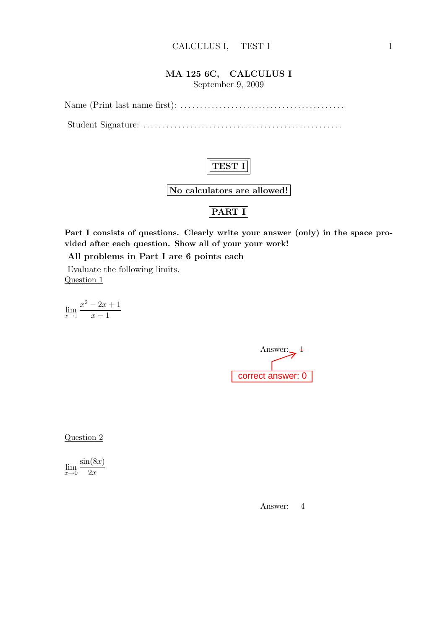#### MA 125 6C, CALCULUS I

September 9, 2009

Name (Print last name first): . . . . . . . . . . . . . . . . . . . . . . . . . . . . . . . . . . . . . . . . . .

Student Signature: . . . . . . . . . . . . . . . . . . . . . . . . . . . . . . . . . . . . . . . . . . . . . . . . . . .



No calculators are allowed!

## PART I

Part I consists of questions. Clearly write your answer (only) in the space provided after each question. Show all of your your work!

All problems in Part I are 6 points each

Evaluate the following limits. Question 1

 $\lim_{x\to 1}$  $x^2 - 2x + 1$  $x - 1$ 

Answer: $\frac{1}{2}$ correct answer: 0

Question 2

 $\lim_{x\to 0}$  $\sin(8x)$  $2x$ 

Answer: 4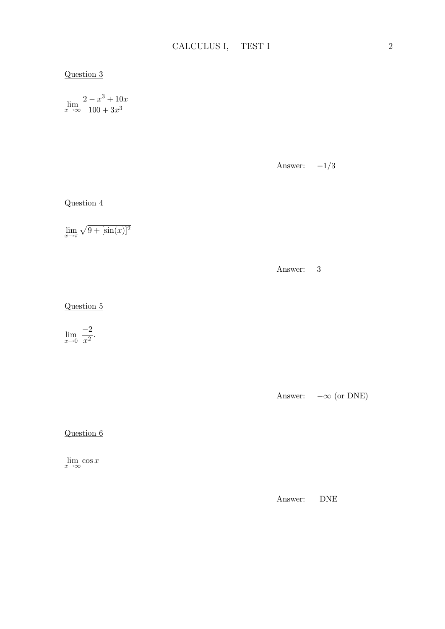#### Question 3

$$
\lim_{x \to \infty} \frac{2 - x^3 + 10x}{100 + 3x^3}
$$

Answer:  $-1/3$ 

Question 4

 $\lim_{x \to \pi} \sqrt{9 + [\sin(x)]^2}$ 

Answer: 3

Question 5

 $\lim_{x\to 0}$  $-2$  $\frac{2}{x^2}$ .

Answer:  $-\infty$  (or DNE)

Question 6

 $\lim_{x\to\infty}\cos x$ 

Answer: DNE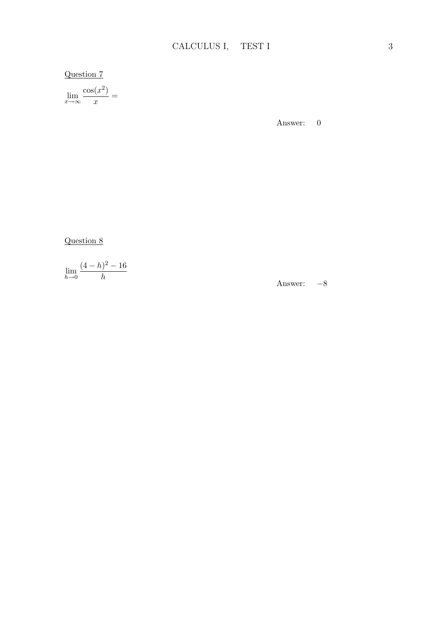## Question 7

 $\lim_{x \to \infty} \frac{\cos(x^2)}{x}$  $\frac{x}{x} =$ 

Answer: 0

Question 8

$$
\lim_{h \to 0} \frac{(4-h)^2 - 16}{h}
$$

Answer: −8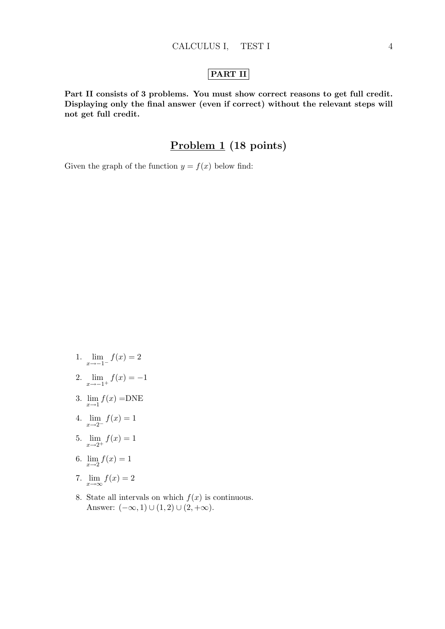#### PART II

Part II consists of 3 problems. You must show correct reasons to get full credit. Displaying only the final answer (even if correct) without the relevant steps will not get full credit.

### Problem 1 (18 points)

Given the graph of the function  $y = f(x)$  below find:

- 1.  $\lim_{x \to -1^{-}} f(x) = 2$
- 2.  $\lim_{x \to -1^+} f(x) = -1$
- 3.  $\lim_{x \to 1} f(x) = \text{DNE}$
- 4.  $\lim_{x \to 2^{-}} f(x) = 1$
- 5.  $\lim_{x \to 2^+} f(x) = 1$
- 6.  $\lim_{x \to 2} f(x) = 1$
- 7.  $\lim_{x\to\infty}f(x)=2$
- 8. State all intervals on which  $f(x)$  is continuous. Answer:  $(-\infty, 1) \cup (1, 2) \cup (2, +\infty)$ .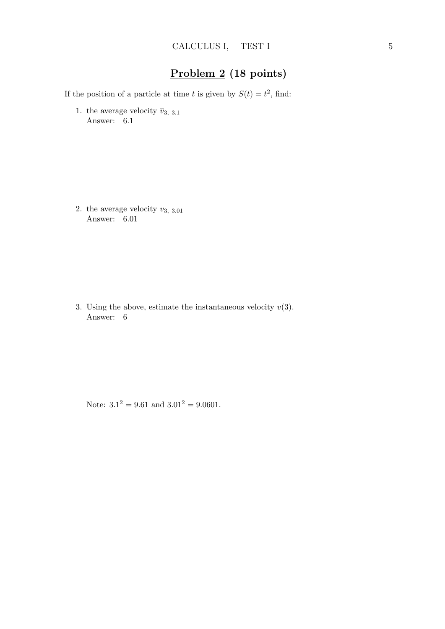## Problem 2 (18 points)

If the position of a particle at time t is given by  $S(t) = t^2$ , find:

1. the average velocity  $\overline{v}_{3, 3.1}$ Answer: 6.1

2. the average velocity  $\overline{v}_{3, 3.01}$ Answer: 6.01

3. Using the above, estimate the instantaneous velocity  $v(3)$ . Answer: 6

Note:  $3.1^2 = 9.61$  and  $3.01^2 = 9.0601$ .